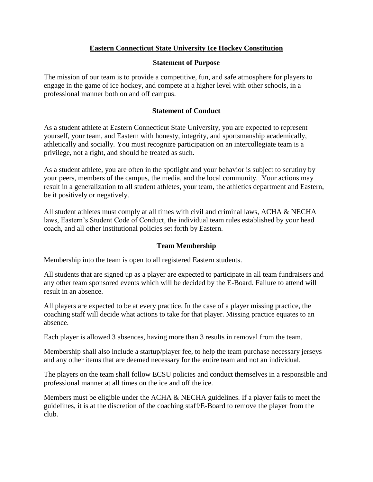# **Eastern Connecticut State University Ice Hockey Constitution**

### **Statement of Purpose**

The mission of our team is to provide a competitive, fun, and safe atmosphere for players to engage in the game of ice hockey, and compete at a higher level with other schools, in a professional manner both on and off campus.

### **Statement of Conduct**

As a student athlete at Eastern Connecticut State University, you are expected to represent yourself, your team, and Eastern with honesty, integrity, and sportsmanship academically, athletically and socially. You must recognize participation on an intercollegiate team is a privilege, not a right, and should be treated as such.

As a student athlete, you are often in the spotlight and your behavior is subject to scrutiny by your peers, members of the campus, the media, and the local community. Your actions may result in a generalization to all student athletes, your team, the athletics department and Eastern, be it positively or negatively.

All student athletes must comply at all times with civil and criminal laws, ACHA & NECHA laws, Eastern's Student Code of Conduct, the individual team rules established by your head coach, and all other institutional policies set forth by Eastern.

## **Team Membership**

Membership into the team is open to all registered Eastern students.

All students that are signed up as a player are expected to participate in all team fundraisers and any other team sponsored events which will be decided by the E-Board. Failure to attend will result in an absence.

All players are expected to be at every practice. In the case of a player missing practice, the coaching staff will decide what actions to take for that player. Missing practice equates to an absence.

Each player is allowed 3 absences, having more than 3 results in removal from the team.

Membership shall also include a startup/player fee, to help the team purchase necessary jerseys and any other items that are deemed necessary for the entire team and not an individual.

The players on the team shall follow ECSU policies and conduct themselves in a responsible and professional manner at all times on the ice and off the ice.

Members must be eligible under the ACHA  $\&$  NECHA guidelines. If a player fails to meet the guidelines, it is at the discretion of the coaching staff/E-Board to remove the player from the club.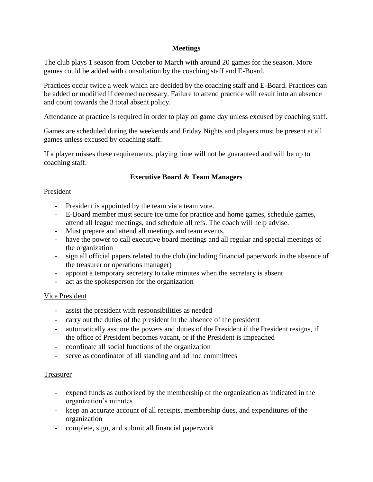### **Meetings**

The club plays 1 season from October to March with around 20 games for the season. More games could be added with consultation by the coaching staff and E-Board.

Practices occur twice a week which are decided by the coaching staff and E-Board. Practices can be added or modified if deemed necessary. Failure to attend practice will result into an absence and count towards the 3 total absent policy.

Attendance at practice is required in order to play on game day unless excused by coaching staff.

Games are scheduled during the weekends and Friday Nights and players must be present at all games unless excused by coaching staff.

If a player misses these requirements, playing time will not be guaranteed and will be up to coaching staff.

## **Executive Board & Team Managers**

### President

- President is appointed by the team via a team vote.
- E-Board member must secure ice time for practice and home games, schedule games, attend all league meetings, and schedule all refs. The coach will help advise.
- Must prepare and attend all meetings and team events.
- have the power to call executive board meetings and all regular and special meetings of the organization
- sign all official papers related to the club (including financial paperwork in the absence of the treasurer or operations manager)
- appoint a temporary secretary to take minutes when the secretary is absent
- act as the spokesperson for the organization

## Vice President

- assist the president with responsibilities as needed
- carry out the duties of the president in the absence of the president
- automatically assume the powers and duties of the President if the President resigns, if the office of President becomes vacant, or if the President is impeached
- coordinate all social functions of the organization
- serve as coordinator of all standing and ad hoc committees

#### Treasurer

- expend funds as authorized by the membership of the organization as indicated in the organization's minutes
- keep an accurate account of all receipts, membership dues, and expenditures of the organization
- complete, sign, and submit all financial paperwork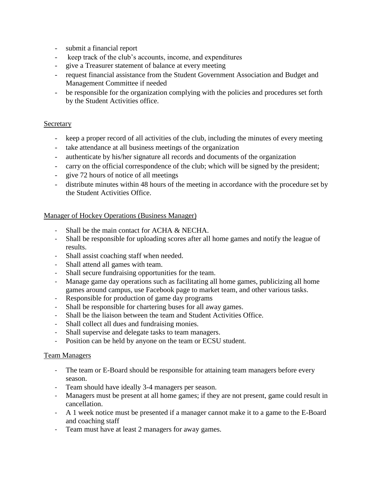- submit a financial report
- keep track of the club's accounts, income, and expenditures
- give a Treasurer statement of balance at every meeting
- request financial assistance from the Student Government Association and Budget and Management Committee if needed
- be responsible for the organization complying with the policies and procedures set forth by the Student Activities office.

#### Secretary

- keep a proper record of all activities of the club, including the minutes of every meeting
- take attendance at all business meetings of the organization
- authenticate by his/her signature all records and documents of the organization
- carry on the official correspondence of the club; which will be signed by the president;
- give 72 hours of notice of all meetings
- distribute minutes within 48 hours of the meeting in accordance with the procedure set by the Student Activities Office.

#### Manager of Hockey Operations (Business Manager)

- Shall be the main contact for ACHA & NECHA.
- Shall be responsible for uploading scores after all home games and notify the league of results.
- Shall assist coaching staff when needed.
- Shall attend all games with team.
- Shall secure fundraising opportunities for the team.
- Manage game day operations such as facilitating all home games, publicizing all home games around campus, use Facebook page to market team, and other various tasks.
- Responsible for production of game day programs
- Shall be responsible for chartering buses for all away games.
- Shall be the liaison between the team and Student Activities Office.
- Shall collect all dues and fundraising monies.
- Shall supervise and delegate tasks to team managers.
- Position can be held by anyone on the team or ECSU student.

#### Team Managers

- The team or E-Board should be responsible for attaining team managers before every season.
- Team should have ideally 3-4 managers per season.
- Managers must be present at all home games; if they are not present, game could result in cancellation.
- A 1 week notice must be presented if a manager cannot make it to a game to the E-Board and coaching staff
- Team must have at least 2 managers for away games.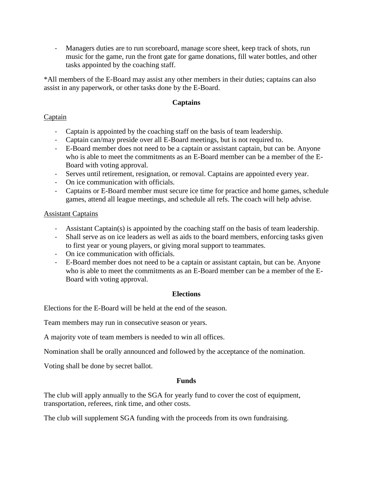- Managers duties are to run scoreboard, manage score sheet, keep track of shots, run music for the game, run the front gate for game donations, fill water bottles, and other tasks appointed by the coaching staff.

\*All members of the E-Board may assist any other members in their duties; captains can also assist in any paperwork, or other tasks done by the E-Board.

# **Captains**

## Captain

- Captain is appointed by the coaching staff on the basis of team leadership.
- Captain can/may preside over all E-Board meetings, but is not required to.
- E-Board member does not need to be a captain or assistant captain, but can be. Anyone who is able to meet the commitments as an E-Board member can be a member of the E-Board with voting approval.
- Serves until retirement, resignation, or removal. Captains are appointed every year.
- On ice communication with officials.
- Captains or E-Board member must secure ice time for practice and home games, schedule games, attend all league meetings, and schedule all refs. The coach will help advise.

# Assistant Captains

- Assistant Captain(s) is appointed by the coaching staff on the basis of team leadership.
- Shall serve as on ice leaders as well as aids to the board members, enforcing tasks given to first year or young players, or giving moral support to teammates.
- On ice communication with officials.
- E-Board member does not need to be a captain or assistant captain, but can be. Anyone who is able to meet the commitments as an E-Board member can be a member of the E-Board with voting approval.

## **Elections**

Elections for the E-Board will be held at the end of the season.

Team members may run in consecutive season or years.

A majority vote of team members is needed to win all offices.

Nomination shall be orally announced and followed by the acceptance of the nomination.

Voting shall be done by secret ballot.

## **Funds**

The club will apply annually to the SGA for yearly fund to cover the cost of equipment, transportation, referees, rink time, and other costs.

The club will supplement SGA funding with the proceeds from its own fundraising.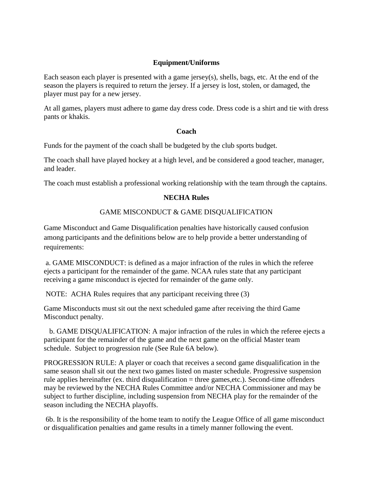### **Equipment/Uniforms**

Each season each player is presented with a game jersey(s), shells, bags, etc. At the end of the season the players is required to return the jersey. If a jersey is lost, stolen, or damaged, the player must pay for a new jersey.

At all games, players must adhere to game day dress code. Dress code is a shirt and tie with dress pants or khakis.

#### **Coach**

Funds for the payment of the coach shall be budgeted by the club sports budget.

The coach shall have played hockey at a high level, and be considered a good teacher, manager, and leader.

The coach must establish a professional working relationship with the team through the captains.

## **NECHA Rules**

## GAME MISCONDUCT & GAME DISQUALIFICATION

Game Misconduct and Game Disqualification penalties have historically caused confusion among participants and the definitions below are to help provide a better understanding of requirements:

a. GAME MISCONDUCT: is defined as a major infraction of the rules in which the referee ejects a participant for the remainder of the game. NCAA rules state that any participant receiving a game misconduct is ejected for remainder of the game only.

NOTE: ACHA Rules requires that any participant receiving three (3)

Game Misconducts must sit out the next scheduled game after receiving the third Game Misconduct penalty.

 b. GAME DISQUALIFICATION: A major infraction of the rules in which the referee ejects a participant for the remainder of the game and the next game on the official Master team schedule. Subject to progression rule (See Rule 6A below).

PROGRESSION RULE: A player or coach that receives a second game disqualification in the same season shall sit out the next two games listed on master schedule. Progressive suspension rule applies hereinafter (ex. third disqualification = three games,etc.). Second-time offenders may be reviewed by the NECHA Rules Committee and/or NECHA Commissioner and may be subject to further discipline, including suspension from NECHA play for the remainder of the season including the NECHA playoffs.

6b. It is the responsibility of the home team to notify the League Office of all game misconduct or disqualification penalties and game results in a timely manner following the event.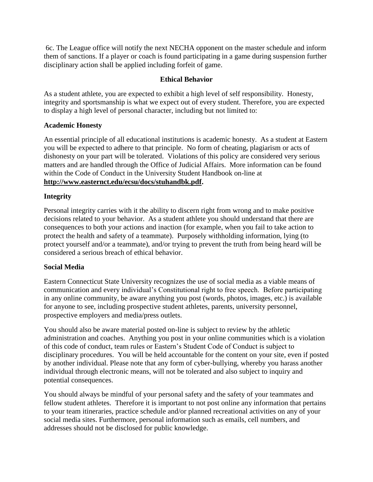6c. The League office will notify the next NECHA opponent on the master schedule and inform them of sanctions. If a player or coach is found participating in a game during suspension further disciplinary action shall be applied including forfeit of game.

## **Ethical Behavior**

As a student athlete, you are expected to exhibit a high level of self responsibility. Honesty, integrity and sportsmanship is what we expect out of every student. Therefore, you are expected to display a high level of personal character, including but not limited to:

### **Academic Honesty**

An essential principle of all educational institutions is academic honesty. As a student at Eastern you will be expected to adhere to that principle. No form of cheating, plagiarism or acts of dishonesty on your part will be tolerated. Violations of this policy are considered very serious matters and are handled through the Office of Judicial Affairs. More information can be found within the Code of Conduct in the University Student Handbook on-line at **[http://www.easternct.edu/ecsu/docs/stuhandbk.pdf.](http://www.easternct.edu/ecsu/docs/stuhandbk.pdf)**

### **Integrity**

Personal integrity carries with it the ability to discern right from wrong and to make positive decisions related to your behavior. As a student athlete you should understand that there are consequences to both your actions and inaction (for example, when you fail to take action to protect the health and safety of a teammate). Purposely withholding information, lying (to protect yourself and/or a teammate), and/or trying to prevent the truth from being heard will be considered a serious breach of ethical behavior.

#### **Social Media**

Eastern Connecticut State University recognizes the use of social media as a viable means of communication and every individual's Constitutional right to free speech. Before participating in any online community, be aware anything you post (words, photos, images, etc.) is available for anyone to see, including prospective student athletes, parents, university personnel, prospective employers and media/press outlets.

You should also be aware material posted on-line is subject to review by the athletic administration and coaches. Anything you post in your online communities which is a violation of this code of conduct, team rules or Eastern's Student Code of Conduct is subject to disciplinary procedures. You will be held accountable for the content on your site, even if posted by another individual. Please note that any form of cyber-bullying, whereby you harass another individual through electronic means, will not be tolerated and also subject to inquiry and potential consequences.

You should always be mindful of your personal safety and the safety of your teammates and fellow student athletes. Therefore it is important to not post online any information that pertains to your team itineraries, practice schedule and/or planned recreational activities on any of your social media sites. Furthermore, personal information such as emails, cell numbers, and addresses should not be disclosed for public knowledge.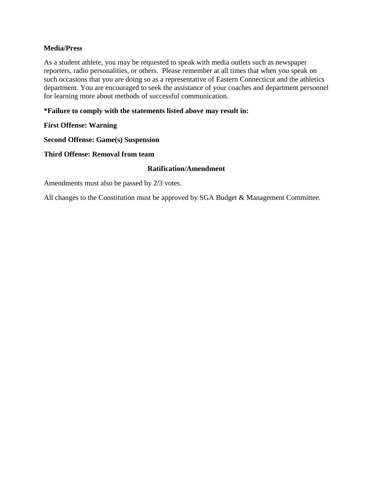### **Media/Press**

As a student athlete, you may be requested to speak with media outlets such as newspaper reporters, radio personalities, or others. Please remember at all times that when you speak on such occasions that you are doing so as a representative of Eastern Connecticut and the athletics department. You are encouraged to seek the assistance of your coaches and department personnel for learning more about methods of successful communication.

### **\*Failure to comply with the statements listed above may result in:**

### **First Offense: Warning**

**Second Offense: Game(s) Suspension**

#### **Third Offense: Removal from team**

### **Ratification/Amendment**

Amendments must also be passed by 2/3 votes.

All changes to the Constitution must be approved by SGA Budget & Management Committee.